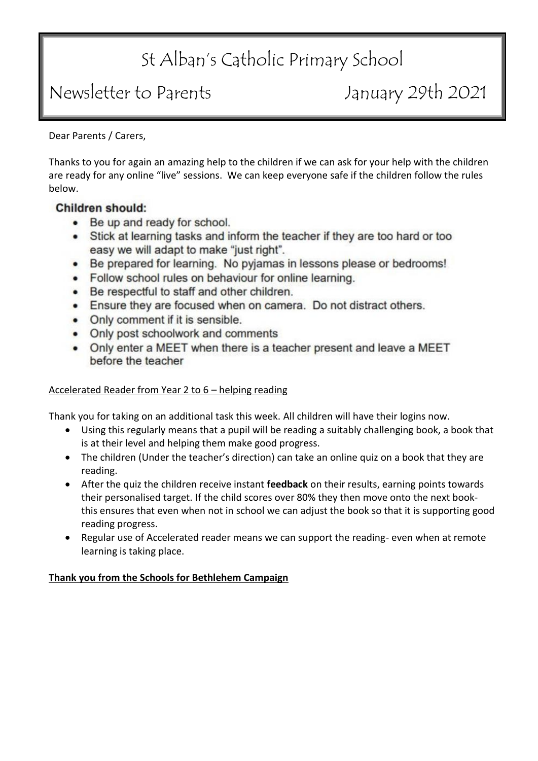# St Alban's Catholic Primary School

# Newsletter to Parents January 29th 2021

Dear Parents / Carers,

Thanks to you for again an amazing help to the children if we can ask for your help with the children are ready for any online "live" sessions. We can keep everyone safe if the children follow the rules below.

## Children should:

- Be up and ready for school.
- Stick at learning tasks and inform the teacher if they are too hard or too easy we will adapt to make "just right".
- Be prepared for learning. No pyjamas in lessons please or bedrooms!
- Follow school rules on behaviour for online learning.
- Be respectful to staff and other children.
- Ensure they are focused when on camera. Do not distract others.
- Only comment if it is sensible.
- Only post schoolwork and comments
- Only enter a MEET when there is a teacher present and leave a MEET before the teacher

### Accelerated Reader from Year 2 to 6 – helping reading

Thank you for taking on an additional task this week. All children will have their logins now.

- Using this regularly means that a pupil will be reading a suitably challenging book, a book that is at their level and helping them make good progress.
- The children (Under the teacher's direction) can take an online quiz on a book that they are reading.
- After the quiz the children receive instant **feedback** on their results, earning points towards their personalised target. If the child scores over 80% they then move onto the next bookthis ensures that even when not in school we can adjust the book so that it is supporting good reading progress.
- Regular use of Accelerated reader means we can support the reading- even when at remote learning is taking place.

## **Thank you from the Schools for Bethlehem Campaign**